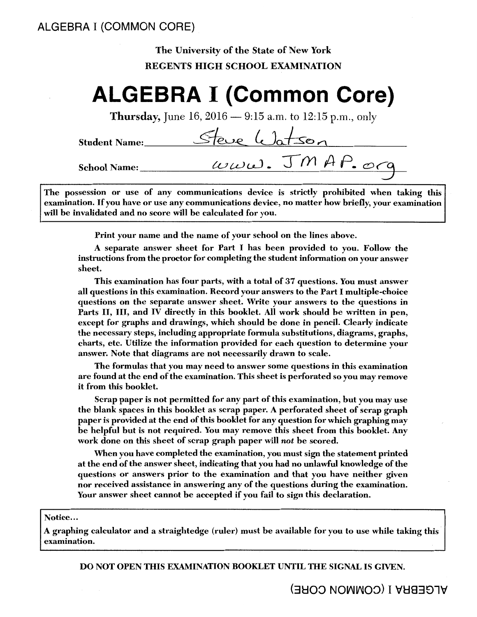# ALGEBRA I (COMMON CORE)

# The University of the State of New York REGENTS HIGH SCHOOL EXAMINATION

# **ALGEBRA I (Common Core)**

**Thursday,** June 16, 2016  $-$  9:15 a.m. to 12:15 p.m., only

Student Name: Steve Watson School Name:  $uvw\omega. JMAP. ocq$ 

The possession or use of any communications device is strictly prohibited when taking this examination. If you have or use any communications device, no matter how briefly, your examination will be invalidated and no score will be calculated for you.

Print your name and the name of your school on the lines above.

A separate answer sheet for Part I has been provided to you. Follow the instructions from the proctor for completing the student information on your answer sheet.

This examination has four parts, with a total of 37 questions. You must answer all questions in this examination. Record your answers to the Part I multiple-choice questions on the separate answer sheet. Write your answers to the questions in Parts II, III, and IV directly in this booklet. All work should be written in pen, except for graphs and drawings, which should be done in pencil. Clearly indicate the necessary steps, including appropriate formula substitutions, diagrams, graphs, charts, etc. Utilize the information provided for each question to determine your answer. Note that diagrams are not necessarily drawn to scale.

The formulas that you may need to answer some questions in this examination are found at the end of the examination. This sheet is perforated so you may remove it from this booklet.

Scrap paper is not permitted for any part of this examination, but you may use the blank spaces in this booklet as scrap paper. A perforated sheet of scrap graph paper is provided at the end of this booklet for any question for which graphing may be helpful but is not required. You may remove this sheet from this booklet. Any work done on this sheet of scrap graph paper will *not* be scored.

When you have completed the examination, you must sign the statement printed at the end of the answer sheet, indicating that you had no unlawful knowledge of the questions or answers prior to the examination and that you have neither given nor received assistance in answering any of the questions during the examination. Your answer sheet cannot be accepted if you fail to sign this declaration.

Notice...

A graphing calculator and a straightedge (ruler) must be available for you to use while taking this· examination.

DO NOT OPEN THIS EXAMINATION BOOKLET UNTIL THE SIGNAL IS GIVEN.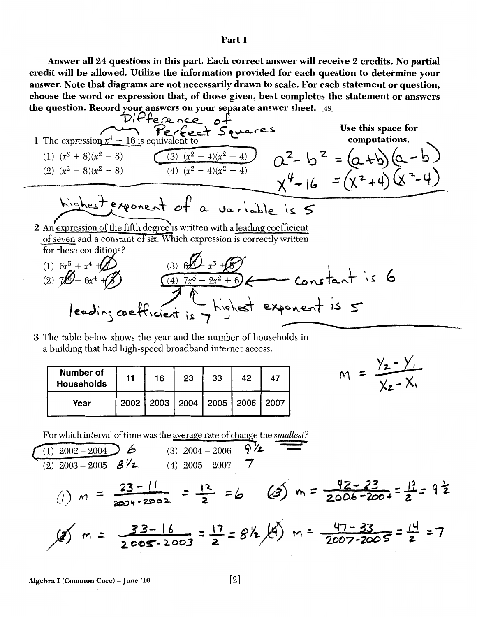## Part I

Answer all 24 questions in this part. Each correct answer will receive 2 credits. No partial credit will be allowed. Utilize the information provided for each question to determine your answer. Note that diagrams are not necessarily drawn to scale. For each statement or question, choose the word or expression that, of those given, best completes the statement or answers

the question. Record your answers on your separate answer sheet. [48]  
\nD. P1e 
$$
c
$$
  $c$   $c$   $b$   $c$   
\n1 The expression  $x^4 - 16$  is equivalent to  
\n(1)  $(x^2 + 8)(x^2 - 8)$   
\n(2)  $(x^2 - 8)(x^2 - 8)$   
\n(3)  $(x^2 + 4)(x^2 - 4)$   
\n(4)  $(x^2 - 4)(x^2 - 4)$   
\n(5)  $(x - 4)(x - 4)$   
\n(6)  $(x - 4)(x - 4)$   
\n(7)  $(x - 4)(x - 4)$   
\n(8)  $(x - 4)(x - 4)$   
\n(9)  $(x - 4)(x - 4)$   
\n(1)  $6x^5 + x^4 + (x^2 - 4)$   
\n(1)  $6x^5 + x^4 + (x^2 - 4)$   
\n(2)  $7x^6 - 6x^4 + (x^3 - 4)$   
\n(3)  $6x^6 - x^5 + x^6$   
\n(4)  $7x^5 + 2x^2 + 6$   
\n(5)  $6x^3 + x^5 + (x^2 - 4)$   
\n(6)  $x^5 + x^4 + (x^2 - 4)$   
\n(7)  $6x^5 + x^4 + (x^2 - 4)$   
\n(8)  $6x^5 + x^5 + (x^3 - 4)$   
\n(9)  $6x^5 + x^5 + (x^3 - 4)$   
\n(10)  $6x^5 + x^4 + (x^3 - 4)$   
\n(2)  $7x^5 - 6x^4 + (x^3 - 4)$   
\n(3)  $6x^5 - x^5 + (x^3 - 4)$   
\n(4)  $7x^5 + 2x^2 + 6$   
\n(5)  $6x^3 + x^5 + (x^3 - 4)$   
\n(6)  $x^5 - 4x^4 + (x^3 - 4)$   
\n(7)  $6x^3 + 2x^2 + 6$   
\n(8)  $x^3 + 2x^2 +$ 

3 The table below shows the year and the number of households in a building that had high-speed broadband internet access.

| <b>Number of</b><br><b>Households</b> | 11   | 16 | 23                               | 33 | 42 | 47 |
|---------------------------------------|------|----|----------------------------------|----|----|----|
| Year                                  | 2002 |    | 2003   2004   2005   2006   2007 |    |    |    |

$$
M = \frac{y_2 - y_1}{x_2 - x_1}
$$

For which interval of time was the average rate of change the *smallest?* 

$$
\frac{(1) \ 2002 - 2004}{(2) \ 2003 - 2005} \frac{6}{8\sqrt{2}}
$$
\n
$$
(4) \ 2005 - 2007 = 7
$$
\n
$$
(1) \ m = \frac{23 - 11}{2004 - 2002} = \frac{12}{2} = 6
$$
\n
$$
(2) \ m = \frac{23 - 11}{2004 - 2002} = \frac{12}{2} = 6
$$
\n
$$
(3) \ 2004 - 2006 = 7\sqrt{2}
$$
\n
$$
(4) \ 2005 - 2007 = 7
$$
\n
$$
(5) \ m = \frac{42 - 23}{2006 - 2004} = \frac{19}{2} = 9\frac{1}{2}
$$

Algebra I (Common Core) - June '16  $[2]$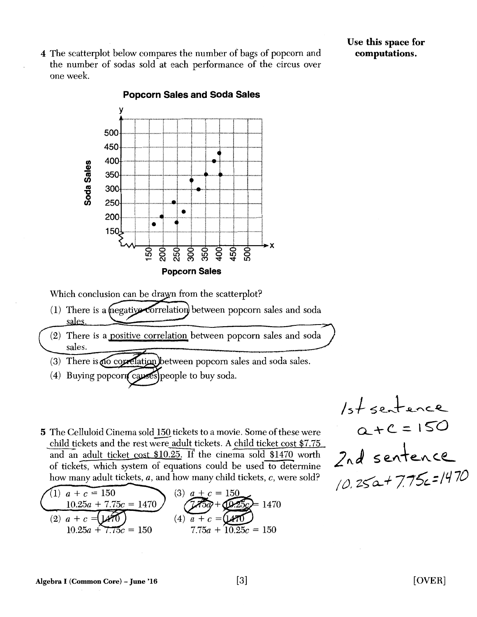4 The scatterplot below compares the number of bags of popcorn and the number of sodas sold at each performance of the circus over one week.



Popcorn Sales and Soda Sales

Which conclusion can be dray n from the scatterplot?

- (1) There is a megative correlation) between popcorn sales and soda sales
- There is a positive correlation between popcorn sales and soda sales.
- $(3)$  There is no correlation between popcorn sales and soda sales.
- (4) Buying popcorn causes people to buy soda.
- 5 The Celluloid Cinema sold 150 tickets to a movie. Some of these were child tickets and the rest were adult tickets. A child ticket cost \$7.75 and an adult ticket cost  $$10.25$ . If the cinema sold  $$1470$  worth of tickets, which system of equations could be used to determine how many adult tickets, *a,* and how many child tickets, *c,* were sold?

$$
(1) \quad a + c = 150
$$
\n
$$
(2) \quad a + c = [470]
$$
\n
$$
(3) \quad a + c = 150
$$
\n
$$
(4) \quad a + c = [470]
$$
\n
$$
(5) \quad a + c = 150
$$
\n
$$
(5) \quad a + c = 150
$$
\n
$$
(6) \quad a + c = [470]
$$
\n
$$
(7) \quad 7.75a + 10.25c = 150
$$

$$
15+
$$
 sentence  
\n $2+C=150$   
\n $2nd$  sentence  
\n $10.25a+7.75c=1470$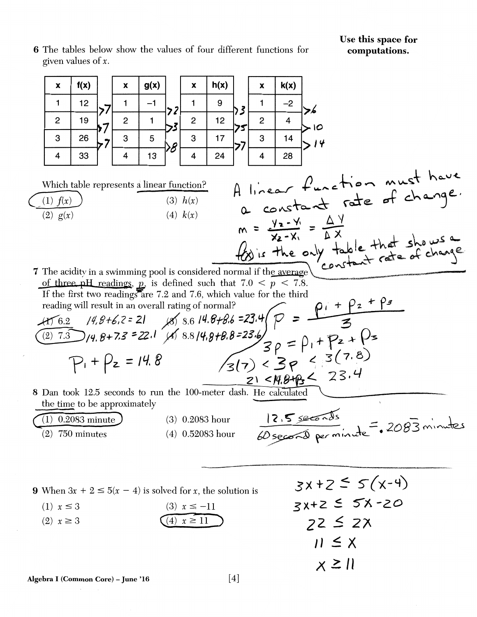Use this space for computations.

6 The tables below show the values of four different functions for given values of  $x$ .

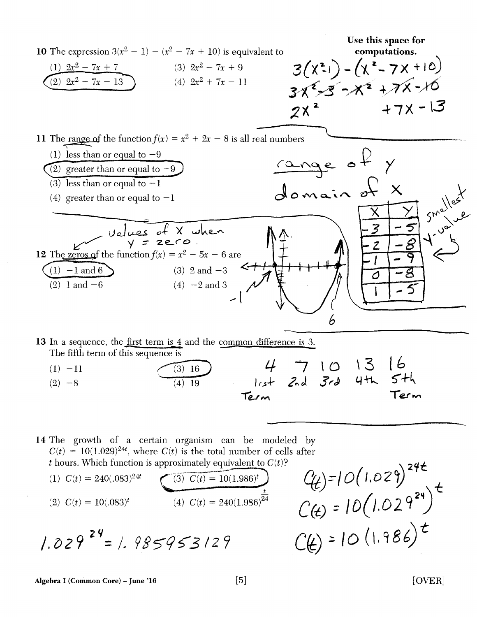

14 The growth of a certain organism can be modeled by t hours. Which function is approximately equivalent to  $C(t)$ ?

$$
C(t) = 10(1.029)^{24t}, \text{ where } C(t) \text{ is the total number of cells after } t \text{ hours. Which function is approximately equivalent to } C(t)?
$$
\n
$$
(1) \ C(t) = 240(.083)^{24t} \qquad \qquad \overbrace{\text{(3)} \ C(t) = 10(1.986)^t}^{\text{(3)} \ C(t) = 10(1.986)^t} \qquad \qquad \overbrace{\text{(4)} \ C(t) = 240(1.986)^{24}}^{\text{t}} \qquad \qquad \overbrace{\text{(4)} \ C(t) = 240(1.986)^{24}}^{\text{t}}
$$
\n
$$
(2) \ C(t) = 10(.083)^t \qquad \qquad (4) \ C(t) = 240(1.986)^{24} \qquad \qquad \overbrace{\text{(4)}} = 10(1.029)^{24} \qquad \qquad \overbrace{\text{(5)}} = 10(1.029)^{24} \qquad \qquad \overbrace{\text{(6)}} = 10(1.029)^{24} \qquad \qquad \overbrace{\text{(7)}} = 10(1.029)^{24} \qquad \qquad \overbrace{\text{(8)}} = 10(1.029)^{24} \qquad \qquad \overbrace{\text{(9)}} = 10(1.029)^{24} \qquad \qquad \overbrace{\text{(10)}} = 10(1.029)^{24} \qquad \qquad \overbrace{\text{(11)}} = 10(1.029)^{24} \qquad \qquad \overbrace{\text{(12)}} = 10(1.029)^{24} \qquad \qquad \overbrace{\text{(13)}} = 10(1.029)^{24} \qquad \qquad \overbrace{\text{(14)}} = 10(1.029)^{24} \qquad \qquad \overbrace{\text{(15)}} = 10(1.029)^{24} \qquad \qquad \overbrace{\text{(16)}} = 10(1.029)^{24} \qquad \qquad \overbrace{\text{(17)}} = 10(1.029)^{24} \qquad \qquad \overbrace{\text{(18)}} = 10(1.029)^{24} \qquad \qquad \overbrace{\text{(19)}} = 10(1.0
$$

$$
1.029^{24} = 1.985953129
$$

[OVER]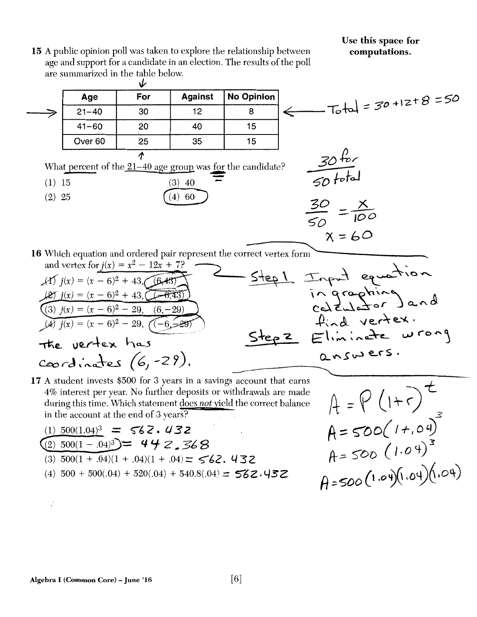## Use this space for computations.

15 A public opinion poll was taken to explore the relationship between age and support for a candidate in an election. The results of the poll are summarized in the table below.

~  $\frac{3}{21-40}$  30  $\frac{7}{12}$  12 8  $\frac{1}{8}$  Total = 30 +12+8 = 50 Age For Against No Opinion ≫ 41-60 20 40 15 Over 60 | 25 | 35 | 15  $\boldsymbol{\Lambda}$  $30~^{+10}$ What percent of the  $\underline{21-40}$  age group was for the candidate?<br>
(1) 15 (3) 40  $\sqrt{50}$  fotal (2) 25  $(4)$  60  $(4)$  $\frac{30}{50} = \frac{X}{100}$  $x=60$ 16 Which equation and ordered pair represent the correct vertex form and vertex for  $j(x) = x^2 - 12x + 7$ ?<br>(A)  $j(x) = (x - 6)^2 + 43$ ,  $\underbrace{(6,43)}$  $(f)$   $j(x) = (x - 6)^2 + 43,$   $(6.43)$ ingraphing and  $\frac{1}{2}$   $j(x) = (x - 6)^2 + 43, \quad -6, \overline{43}$ (3)  $j(x) = (x - 6)^2 - 29$ , find vertex.  $\overline{(4)}$   $\overline{j(x)} = (x - 6)^2 - 29$ , Elininate wrong Step  $z$ the vertex has answers. coordinates (6,-29).

17 A student invests \$500 for 3 years in a savings account that earns 4% interest per year. No further deposits or withdrawals are made during this time. Which statement does *not* yield the correct balance in the account at the end of 3 years?

$$
(1) 500(1.04)^3 = 562.432
$$
  
\n
$$
(2) 500(1 - .04)^3 = 442.368
$$
  
\n
$$
(3) 500(1 + .04)(1 + .04)(1 + .04) = 562.432
$$
  
\n
$$
(4) 500 + 500(.04) + 520(.04) + 540.8(.04) = 562.432
$$

 $A = P(1+r)^t$  $A=500(1+.04)$  $A=500(1.04)^{3}$  $A = 500 (1.04)(1.04)(0.04)$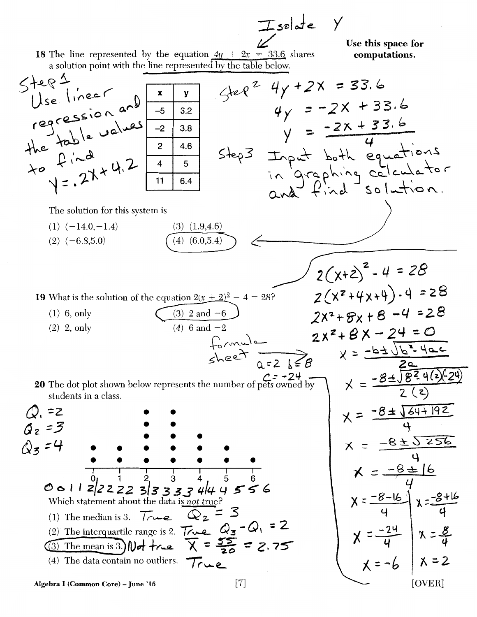$I = \text{value}$   $Y$ 

Use this space for computations.

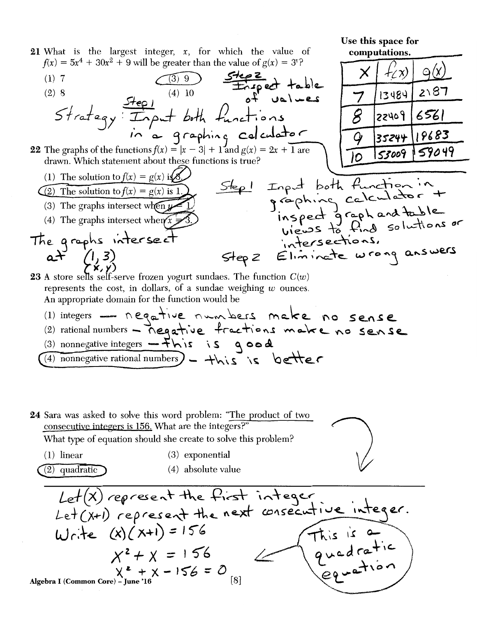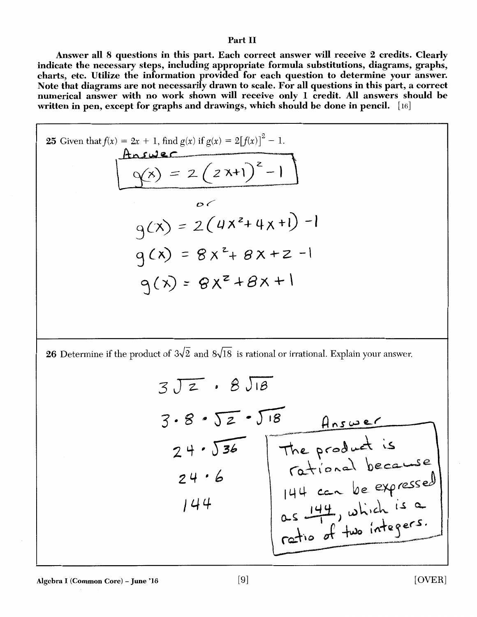### Part II

Answer all 8 questions in this part. Each correct answer will receive 2 credits. Clearly indicate the necessary steps, including appropriate formula substitutions, diagrams, graphs, charts, etc. Utilize the information provided for each question to determine your answer. Note that diagrams are not necessarily drawn to scale. For all questions in this part, a correct numerical answer with no work shown will receive only 1 credit. All answers should be written in pen, except for graphs and drawings, which should be done in pencil. [16]

25 Given that 
$$
f(x) = 2x + 1
$$
, find  $g(x)$  if  $g(x) = 2[f(x)]^2 - 1$   
\n
$$
g(x) = 2(2x+1)^2 - 1
$$
\n
$$
g(x) = 2(4x^2 + 4x + 1) - 1
$$
\n
$$
g(x) = 8x^2 + 8x + 2 - 1
$$
\n
$$
g(x) = 8x^2 + 8x + 2 - 1
$$

**26** Determine if the product of  $3\sqrt{2}$  and  $8\sqrt{18}$  is rational or irrational. Explain your answer.

$$
\frac{3\sqrt{2} \cdot 8\sqrt{2} \cdot \sqrt{18}}{24 \cdot \sqrt{36}} \underbrace{118 \text{ These}}_{74 \cdot 6} \underbrace{118 \text{ The product is} \atop 144 \text{ car be expressed} \atop 0.5 \text{ the left, which is a} \atop 0.5 \text{ the right, which is a} \atop 0.6 \text{ the integer } s.}
$$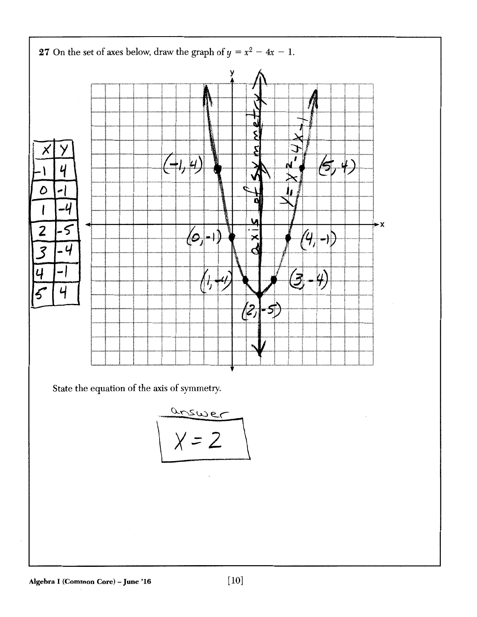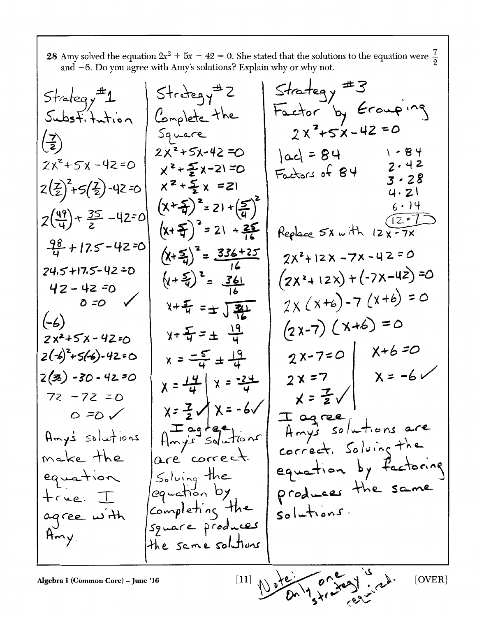28 Amy solved the equation  $2x^2 + 5x - 42 = 0$ . She stated that the solutions to the equation were  $\frac{7}{2}$  and -6. Do you agree with Amy's solutions? Explain why or why not.

Algebra 1 (Common Core) – june

 $D^{\alpha\lambda\gamma}$ skrod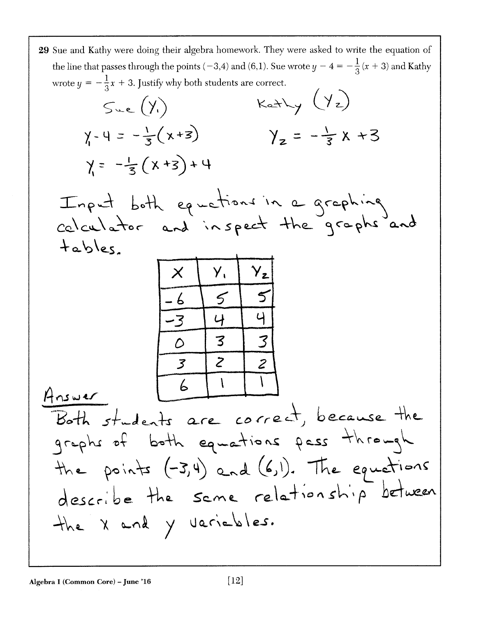| the line that passes through the points (-3,4) and (6,1). Sue wrote $y - 4 = -\frac{1}{3}(x + 3)$ and Kathy<br>wrote $y = -\frac{1}{3}x + 3$ . Justify why both students are correct.<br>$KaHy$ $(Yz)$<br>Sue(Y)<br>$y-4 = -\frac{1}{3}(x+3)$<br>$y_{z} = -\frac{1}{7}x + 3$<br>$y = -\frac{1}{3}(x+3)+4$<br>Input both equations in a graphing<br>calculator and inspect the graphs and<br>tabbles<br>$Y_{z}$<br>3<br>3<br>D<br>$\overline{z}$<br>$\overline{\mathcal{Z}}$<br>3<br>Answer $\begin{array}{ c c c c c c c c }\n\hline\n\text{Answer} & \text{6} & \text{1} & \text{1} & \text{1} \\ \hline\n\end{array}$<br>Both students are correct, because the<br>graphs of both equations pass through |
|------------------------------------------------------------------------------------------------------------------------------------------------------------------------------------------------------------------------------------------------------------------------------------------------------------------------------------------------------------------------------------------------------------------------------------------------------------------------------------------------------------------------------------------------------------------------------------------------------------------------------------------------------------------------------------------------------------|
|                                                                                                                                                                                                                                                                                                                                                                                                                                                                                                                                                                                                                                                                                                            |
|                                                                                                                                                                                                                                                                                                                                                                                                                                                                                                                                                                                                                                                                                                            |
|                                                                                                                                                                                                                                                                                                                                                                                                                                                                                                                                                                                                                                                                                                            |
|                                                                                                                                                                                                                                                                                                                                                                                                                                                                                                                                                                                                                                                                                                            |
|                                                                                                                                                                                                                                                                                                                                                                                                                                                                                                                                                                                                                                                                                                            |
|                                                                                                                                                                                                                                                                                                                                                                                                                                                                                                                                                                                                                                                                                                            |
|                                                                                                                                                                                                                                                                                                                                                                                                                                                                                                                                                                                                                                                                                                            |
|                                                                                                                                                                                                                                                                                                                                                                                                                                                                                                                                                                                                                                                                                                            |
| the points (-3,4) and (6,1). The equations<br>describe the same relationship between<br>the X and y variables.                                                                                                                                                                                                                                                                                                                                                                                                                                                                                                                                                                                             |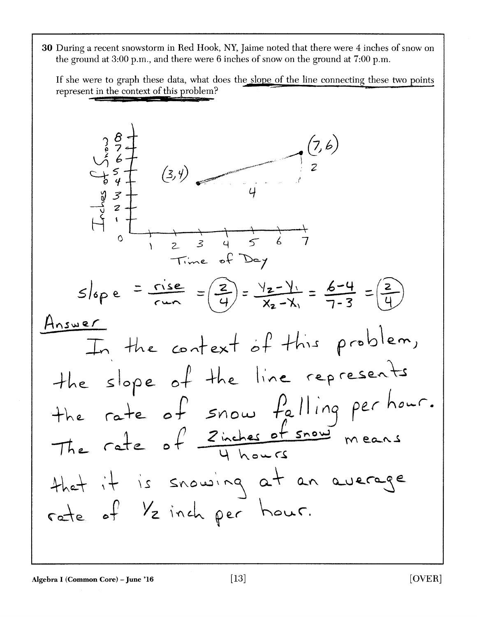30 During a recent snowstorm in Red Hook, NY, Jaime noted that there were 4 inches of snow on the ground at 3:00 p.m., and there were 6 inches of snow on the ground at 7:00 p.m.

If she were to graph these data, what does the slope of the line connecting these two points represent in the context of this problem?

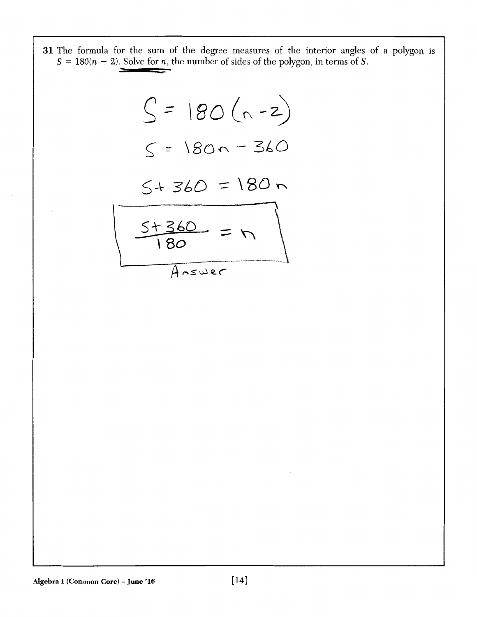31 The formula for the sum of the degree measures of the interior angles of a polygon is  $S = 180(n - 2)$ . Solve for *n*, the number of sides of the polygon, in terms of *S*.

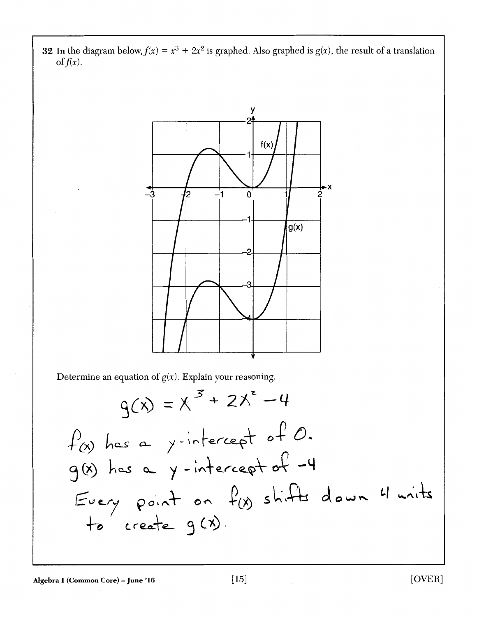**32** In the diagram below,  $f(x) = x^3 + 2x^2$  is graphed. Also graphed is  $g(x)$ , the result of a translation of  $f(x)$ .



Determine an equation of  $g(x)$ . Explain your reasoning.

$$
g(x) = x^{3} + 2x^{2} - 4
$$
  
  $f(x)$  has a y-intercept of 0.  
  $g(x)$  has a y-intercept of -4  
 Every point on  $f(x)$  shifts down 4 units  
 to create  $g(x)$ .

Algebra I (Common Core) – June '16  $[15]$  [OVER]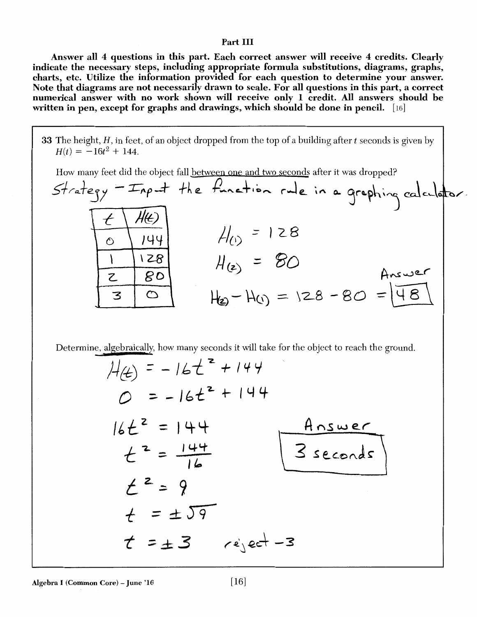#### Part III

Answer all 4 questions in this part. Each correct answer will receive 4 credits. Clearly indicate the necessary steps, including appropriate formula substitutions, diagrams, graphs, charts, etc. Utilize the information provided for each question to determine your answer. Note that diagrams are not necessarily drawn to scale. For all questions in this part, a correct numerical answer with no work shown will receive only 1 credit. All answers should be written in pen, except for graphs and drawings, which should be done in pencil. [16]

33 The height, H, in feet, of an object dropped from the top of a building after *t* seconds is given by  $H(t) = -16t^2 + 144.$ 

How many feet did the object fall between one and two seconds after it was dropped?

| Strategy - Imput the function rule in a graphing calculator. |  |
|--------------------------------------------------------------|--|
| $H_{0}$ = 128                                                |  |
| $H(z) = 80$<br>Answer                                        |  |
| $H_2-H_0 = 128 - 80 = 48$                                    |  |

Determine, algebraically, how many seconds it will take for the object to reach the ground.

$$
H(t) = -16t^{2} + 144
$$
\n
$$
0 = -16t^{2} + 144
$$
\n
$$
16t^{2} = 144
$$
\n
$$
t^{2} = \frac{144}{16}
$$
\n
$$
t^{2} = 9
$$
\n
$$
t = \pm 57
$$
\n
$$
t = \pm 3
$$
\n
$$
e^{i} = -3
$$
\n
$$
e^{i} = -3
$$
\n
$$
e^{i} = -3
$$
\n
$$
e^{i} = -3
$$
\n
$$
e^{i} = -3
$$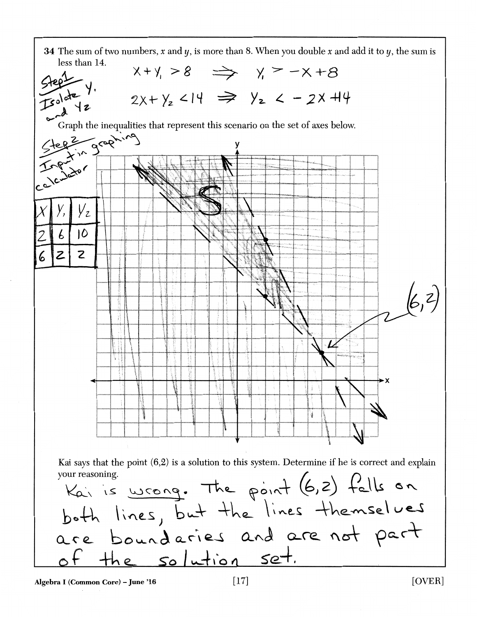

Algebra I (Common Core) - June '16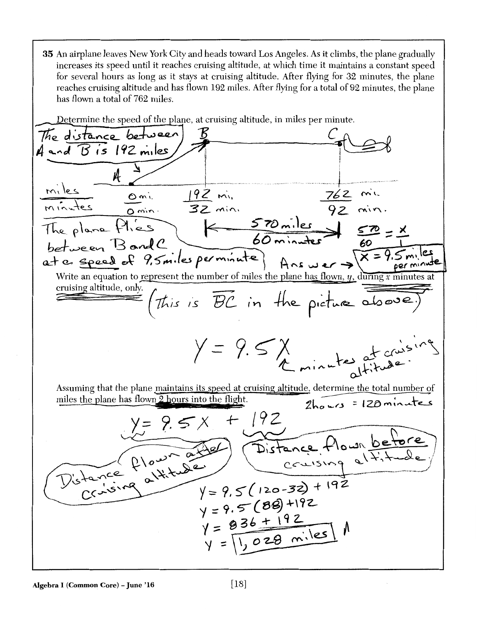35 An airplane leaves New York City and heads toward Los Angeles. As it climbs, the plane gradually increases its speed until it reaches cruising altitude, at which time it maintains a constant speed for several hours as long as it stays at cruising altitude. After flying for 32 minutes, the plane reaches cruising altitude and has flown 192 miles. After flying for a total of 92 minutes, the plane has flown a total of 762 miles.

Determine the speed of the plane, at cruising altitude, in miles per minute.

The distance between  $4$  and  $\overline{B}$  is 192 miles, minutes omin 192 min 762 min<br>The plane Plies K 570 miles 80 = X<br>between BandC 60 minutes 60 = X<br>at a speed of 9,5 miles perminute) Answer > X = 9.51 t c. speed of 9,5miles permisiste) Ans wer > X = 9.5miles<br>Write an equation to represent the number of miles the plane has flown, y, during x minutes at cruising altitude, only.  $=$  (this is  $\overline{BC}$  in the picture above)  $y = 9.5x$ <br>Le minute st crisin Assuming that the plane maintains its speed at cruising altitude, determine the total number of miles the plane has flown 2 hours into the flight. 2hours = 120 minutes  $y = 9.5x + 192$ <br>  $y = 9.5x + 192$ <br>
Distance flower and Distance flower before<br>
Distance flower a little  $y = 9.5(89) + 192$  $y = 836 + 192$ <br> $y = 1,028$  miles  $M$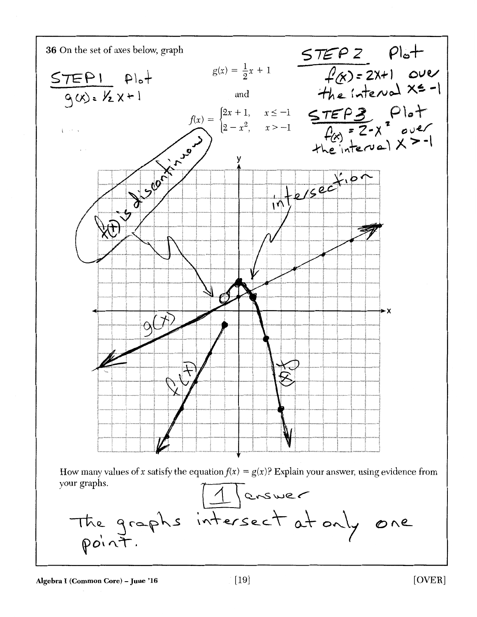